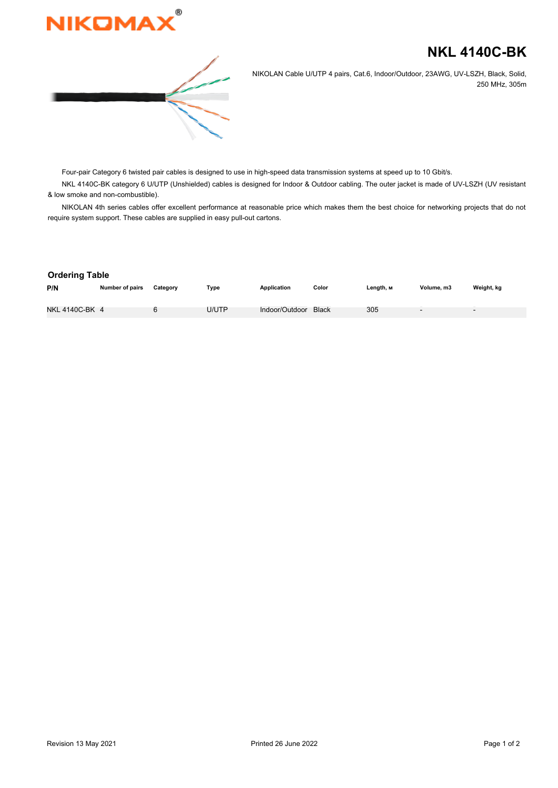

## **NKL 4140C-BK**



NIKOLAN Cable U/UTP 4 pairs, Cat.6, Indoor/Outdoor, 23AWG, UV-LSZH, Black, Solid, 250 MHz, 305m

Four-pair Category 6 twisted pair cables is designed to use in high-speed data transmission systems at speed up to 10 Gbit/s.

NKL 4140C-BK category 6 U/UTP (Unshielded) cables is designed for Indoor & Outdoor cabling. The outer jacket is made of UV-LSZH (UV resistant & low smoke and non-combustible).

NIKOLAN 4th series cables offer excellent performance at reasonable price which makes them the best choice for networking projects that do not require system support. These cables are supplied in easy pull-out cartons.

## **Ordering Table**

| P/N            | <b>Number of pairs</b> | Category | Type  | <b>Application</b>   | Color | Length, м | Volume, m3               | Weight, kg               |
|----------------|------------------------|----------|-------|----------------------|-------|-----------|--------------------------|--------------------------|
|                |                        |          |       |                      |       |           |                          |                          |
| NKL 4140C-BK 4 |                        |          | U/UTP | Indoor/Outdoor Black |       | 305       | $\overline{\phantom{a}}$ | $\overline{\phantom{0}}$ |